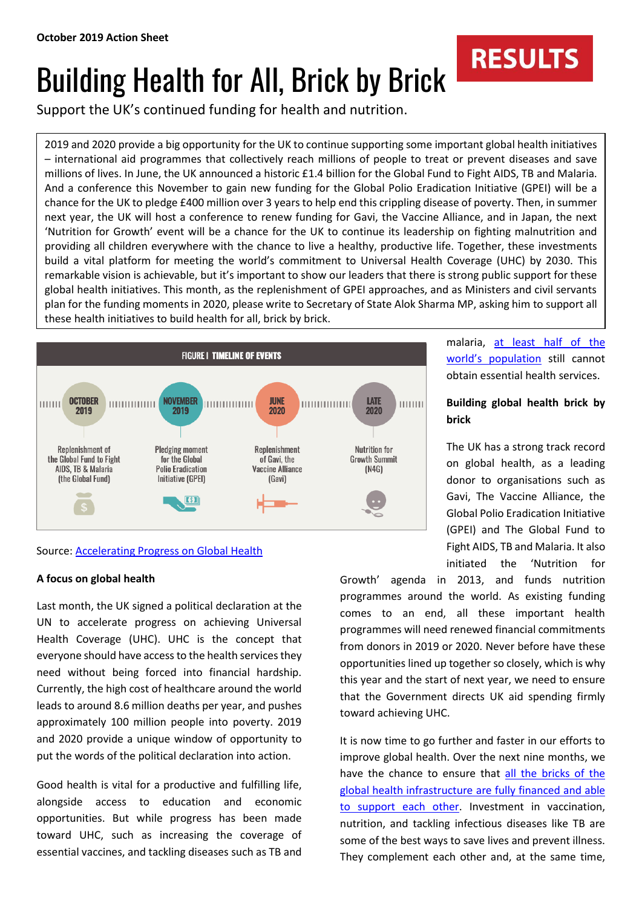# Building Health for All, Brick by Brick

Support the UK's continued funding for health and nutrition.

2019 and 2020 provide a big opportunity for the UK to continue supporting some important global health initiatives – international aid programmes that collectively reach millions of people to treat or prevent diseases and save millions of lives. In June, the UK announced a historic £1.4 billion for the Global Fund to Fight AIDS, TB and Malaria. And a conference this November to gain new funding for the Global Polio Eradication Initiative (GPEI) will be a chance for the UK to pledge £400 million over 3 years to help end this crippling disease of poverty. Then, in summer next year, the UK will host a conference to renew funding for Gavi, the Vaccine Alliance, and in Japan, the next 'Nutrition for Growth' event will be a chance for the UK to continue its leadership on fighting malnutrition and providing all children everywhere with the chance to live a healthy, productive life. Together, these investments build a vital platform for meeting the world's commitment to Universal Health Coverage (UHC) by 2030. This remarkable vision is achievable, but it's important to show our leaders that there is strong public support for these global health initiatives. This month, as the replenishment of GPEI approaches, and as Ministers and civil servants plan for the funding moments in 2020, please write to Secretary of State Alok Sharma MP, asking him to support all these health initiatives to build health for all, brick by brick.



# Source: [Accelerating Progress on Global Health](https://www.results.org.uk/publications/quick-guide-brick-brick-accelerating-progress-global-health)

# **A focus on global health**

Last month, the UK signed a political declaration at the UN to accelerate progress on achieving Universal Health Coverage (UHC). UHC is the concept that everyone should have access to the health services they need without being forced into financial hardship. Currently, the high cost of healthcare around the world leads to around 8.6 million deaths per year, and pushes approximately 100 million people into poverty. 2019 and 2020 provide a unique window of opportunity to put the words of the political declaration into action.

Good health is vital for a productive and fulfilling life, alongside access to education and economic opportunities. But while progress has been made toward UHC, such as increasing the coverage of essential vaccines, and tackling diseases such as TB and

Growth' agenda in 2013, and funds nutrition programmes around the world. As existing funding comes to an end, all these important health programmes will need renewed financial commitments from donors in 2019 or 2020. Never before have these opportunities lined up together so closely, which is why this year and the start of next year, we need to ensure that the Government directs UK aid spending firmly toward achieving UHC.

It is now time to go further and faster in our efforts to improve global health. Over the next nine months, we have the chance to ensure that [all the bricks of the](https://www.results.org.uk/blog/brick-brick-accelerating-progress-global-health)  global [health infrastructure are fully financed and able](https://www.results.org.uk/blog/brick-brick-accelerating-progress-global-health)  [to support each other.](https://www.results.org.uk/blog/brick-brick-accelerating-progress-global-health) Investment in vaccination, nutrition, and tackling infectious diseases like TB are some of the best ways to save lives and prevent illness. They complement each other and, at the same time,

malaria, [at least half of the](https://www.worldbank.org/en/topic/universalhealthcoverage/publication/tracking-universal-health-coverage-2017-global-monitoring-report)  [world's population](https://www.worldbank.org/en/topic/universalhealthcoverage/publication/tracking-universal-health-coverage-2017-global-monitoring-report) still cannot obtain essential health services.

**RESULTS** 

# **Building global health brick by brick**

The UK has a strong track record on global health, as a leading donor to organisations such as Gavi, The Vaccine Alliance, the Global Polio Eradication Initiative (GPEI) and The Global Fund to Fight AIDS, TB and Malaria. It also initiated the 'Nutrition for